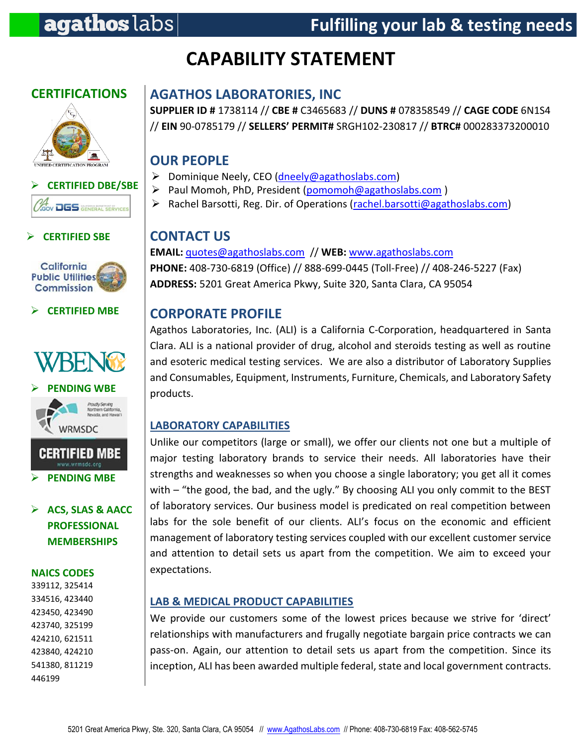# **CAPABILITY STATEMENT**

# **CERTIFICATIONS**





#### **CERTIFIED SBE**



#### **CERTIFIED MBE**







# **ACS, SLAS & AACC PROFESSIONAL MEMBERSHIPS**

#### **NAICS CODES**

339112, 325414 334516, 423440 423450, 423490 423740, 325199 424210, 621511 423840, 424210 541380, 811219 446199

# **AGATHOS LABORATORIES, INC**

**SUPPLIER ID #** 1738114 // **CBE #** C3465683 // **DUNS #** 078358549 // **CAGE CODE** 6N1S4 // **EIN** 90-0785179 // **SELLERS' PERMIT#** SRGH102-230817 // **BTRC#** 000283373200010

# **OUR PEOPLE**

- Dominique Neely, CEO [\(dneely@agathoslabs.com\)](mailto:dneely@agathoslabs.com)
- ▶ Paul Momoh, PhD, President [\(pomomoh@agathoslabs.com](mailto:pomomoh@agathoslabs.com))
- ▶ Rachel Barsotti, Reg. Dir. of Operations [\(rachel.barsotti@agathoslabs.com\)](mailto:rachel.barsotti@agathoslabs.com)

# **CONTACT US**

**EMAIL:** [quotes@agathoslabs.com](mailto:quotes@agathoslabs.com) // **WEB:** [www.agathoslabs.com](http://www.agathoslabs.com/) **PHONE:** 408-730-6819 (Office) // 888-699-0445 (Toll-Free) // 408-246-5227 (Fax) **ADDRESS:** 5201 Great America Pkwy, Suite 320, Santa Clara, CA 95054

# **CORPORATE PROFILE**

Agathos Laboratories, Inc. (ALI) is a California C-Corporation, headquartered in Santa Clara. ALI is a national provider of drug, alcohol and steroids testing as well as routine and esoteric medical testing services. We are also a distributor of Laboratory Supplies and Consumables, Equipment, Instruments, Furniture, Chemicals, and Laboratory Safety products.

#### **LABORATORY CAPABILITIES**

Unlike our competitors (large or small), we offer our clients not one but a multiple of major testing laboratory brands to service their needs. All laboratories have their strengths and weaknesses so when you choose a single laboratory; you get all it comes with – "the good, the bad, and the ugly." By choosing ALI you only commit to the BEST of laboratory services. Our business model is predicated on real competition between labs for the sole benefit of our clients. ALI's focus on the economic and efficient management of laboratory testing services coupled with our excellent customer service and attention to detail sets us apart from the competition. We aim to exceed your expectations.

#### **LAB & MEDICAL PRODUCT CAPABILITIES**

We provide our customers some of the lowest prices because we strive for 'direct' relationships with manufacturers and frugally negotiate bargain price contracts we can pass-on. Again, our attention to detail sets us apart from the competition. Since its inception, ALI has been awarded multiple federal, state and local government contracts.